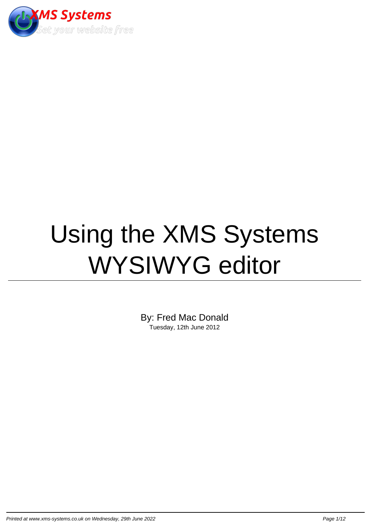

# Using the XMS Systems WYSIWYG editor

By: Fred Mac Donald Tuesday, 12th June 2012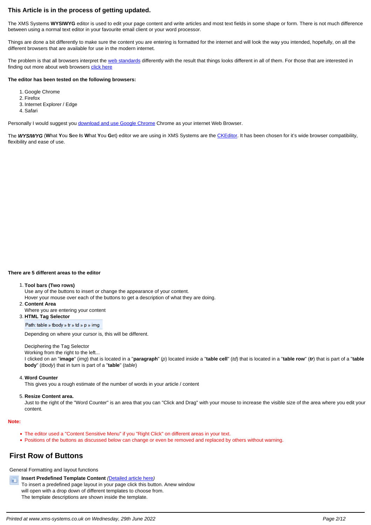### **This Article is in the process of getting updated.**

The XMS Systems **WYSIWYG** editor is used to edit your page content and write articles and most text fields in some shape or form. There is not much difference between using a normal text editor in your favourite email client or your word processor.

Things are done a bit differently to make sure the content you are entering is formatted for the internet and will look the way you intended, hopefully, on all the different browsers that are available for use in the modern internet.

The problem is that all browsers interpret the [web standards](http://www.w3.org/standards/) differently with the result that things looks different in all of them. For those that are interested in finding out more about web browsers [click here](http://en.wikipedia.org/wiki/List_of_web_browsers)

### **The editor has been tested on the following browsers:**

- 1. Google Chrome
- 2. Firefox
- 3. Internet Explorer / Edge
- 4. Safari

Personally I would suggest you [download and use Google Chrome](https://support.google.com/chrome/?hl=en#topic=3227046) Chrome as your internet Web Browser.

The **WYSIWYG** (**W**hat **Y**ou **S**ee **I**s **W**hat **Y**ou **G**et) editor we are using in XMS Systems are the [CKEditor.](http://ckeditor.com/) It has been chosen for it's wide browser compatibility, flexibility and ease of use.

### **There are 5 different areas to the editor**

#### 1. **Tool bars (Two rows)**

Use any of the buttons to insert or change the appearance of your content.

Hover your mouse over each of the buttons to get a description of what they are doing.

2. **Content Area**

Where you are entering your content 3. **HTML Tag Selector**

Path: table » tbody » tr » td » p » img

Depending on where your cursor is, this will be different.

### Deciphering the Tag Selector

Working from the right to the left...

I clicked on an "**image**" (img) that is located in a "**paragraph**" (p) located inside a "**table cell**" (td) that is located in a "**table row**" (**tr**) that is part of a "**table body**" (tbody) that in turn is part of a "**table**" (table)

### 4. **Word Counter**

This gives you a rough estimate of the number of words in your article / content

### 5. **Resize Content area.**

Just to the right of the "Word Counter" is an area that you can "Click and Drag" with your mouse to increase the visible size of the area where you edit your content.

### **Note:**

- The editor used a "Content Sensitive Menu" if you "Right Click" on different areas in your text.
- Positions of the buttons as discussed below can change or even be removed and replaced by others without warning.

# **First Row of Buttons**

General Formatting and layout functions

**Insert Predefined Template Content ([Detailed article here](../article-144-using-pre-defined-templates.html))** E To insert a predefined page layout in your page click this button. Anew window will open with a drop down of different templates to choose from. The template descriptions are shown inside the template.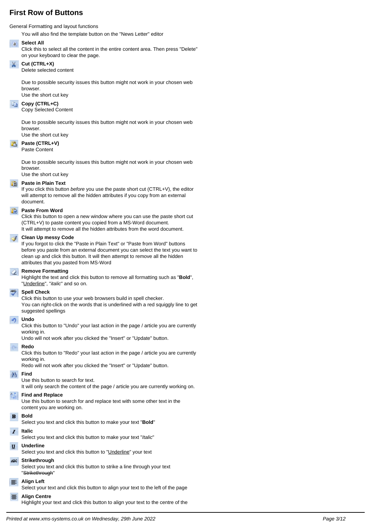### **First Row of Buttons**

General Formatting and layout functions

You will also find the template button on the "News Letter" editor

#### **Select All** 溢

Click this to select all the content in the entire content area. Then press "Delete" on your keyboard to clear the page.

### **Cut (CTRL+X)**

Delete selected content

Due to possible security issues this button might not work in your chosen web browser. Use the short cut key

### **Copy (CTRL+C)**

Copy Selected Content

Due to possible security issues this button might not work in your chosen web browser.

Use the short cut key

**Paste (CTRL+V)** Paste Content

Due to possible security issues this button might not work in your chosen web browser.

### Use the short cut key **Paste in Plain Text**

If you click this button before you use the paste short cut (CTRL+V), the editor will attempt to remove all the hidden attributes if you copy from an external document.

### **Paste From Word**

Click this button to open a new window where you can use the paste short cut (CTRL+V) to paste content you copied from a MS-Word document. It will attempt to remove all the hidden attributes from the word document.

### **Clean Up messy Code**

If you forgot to click the "Paste in Plain Text" or "Paste from Word" buttons before you paste from an external document you can select the text you want to clean up and click this button. It will then attempt to remove all the hidden attributes that you pasted from MS-Word

### **Remove Formatting**

Highlight the text and click this button to remove all formatting such as "**Bold**", "Underline", "*italic*" and so on.

### **Spell Check**

Click this button to use your web browsers build in spell checker. You can right-click on the words that is underlined with a red squiggly line to get suggested spellings

### **Undo**

Click this button to "Undo" your last action in the page / article you are currently working in.

Undo will not work after you clicked the "Insert" or "Update" button.

**Redo**

Click this button to "Redo" your last action in the page / article you are currently working in.

Redo will not work after you clicked the "Insert" or "Update" button.

#### **Find**

Use this button to search for text.

It will only search the content of the page / article you are currently working on.

#### **Find and Replace**

Use this button to search for and replace text with some other text in the content you are working on.

#### **Bold**

Select you text and click this button to make your text "**Bold**"

**Italic**

Select you text and click this button to make your text "Italic"

### **Underline**

Select you text and click this button to "Underline" your text

### **Strikethrough**

Select you text and click this button to strike a line through your text "Strikethrough"

### **Align Left**

Select your text and click this button to align your text to the left of the page

### **Align Centre**

Highlight your text and click this button to align your text to the centre of the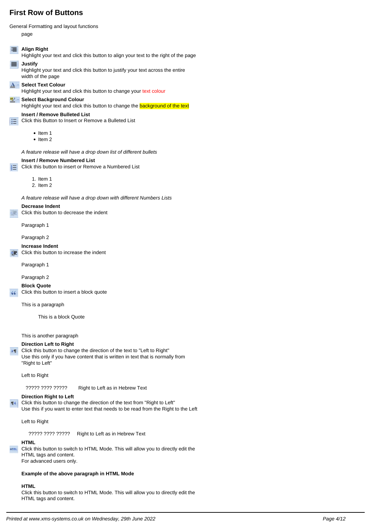**First Row of Buttons** General Formatting and layout functions page **Align Right** Highlight your text and click this button to align your text to the right of the page **Justify** Highlight your text and click this button to justify your text across the entire width of the page **A** - Select Text Colour Highlight your text and click this button to change your text colour **Select Background Colour** Highlight your text and click this button to change the **background of the text Insert / Remove Bulleted List**  $\mathbf{E}$  Click this Button to Insert or Remove a Bulleted List  $\bullet$  Item 1  $\bullet$  Item 2 A feature release will have a drop down list of different bullets **Insert / Remove Numbered List** Click this button to insert or Remove a Numbered List 主 1. Item 1 2. Item 2 A feature release will have a drop down with different Numbers Lists **Decrease Indent** Click this button to decrease the indent Paragraph 1 Paragraph 2 **Increase Indent** Click this button to increase the indent 經 Paragraph 1 Paragraph 2 **Block Quote** Click this button to insert a block quote  $\epsilon$ This is a paragraph This is a block Quote This is another paragraph **Direction Left to Right**

Click this button to change the direction of the text to "Left to Right" Use this only if you have content that is written in text that is normally from "Right to Left"

Left to Right

????? ???? ????? Right to Left as in Hebrew Text

### **Direction Right to Left**

Click this button to change the direction of the text from "Right to Left"  $\P$ <sup>4</sup> Use this if you want to enter text that needs to be read from the Right to the Left

Left to Right

????? ???? ????? Right to Left as in Hebrew Text

### **HTML**

Click this button to switch to HTML Mode. This will allow you to directly edit the HTML. HTML tags and content. For advanced users only.

**Example of the above paragraph in HTML Mode**

### **HTML**

Click this button to switch to HTML Mode. This will allow you to directly edit the HTML tags and content.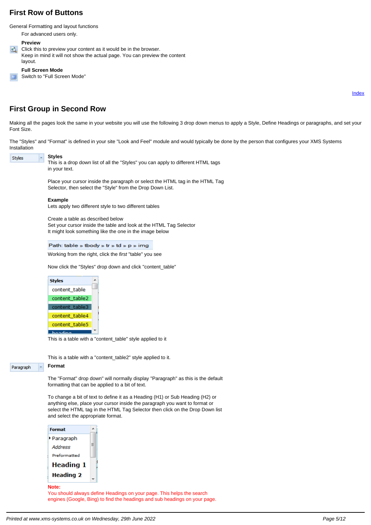### **First Row of Buttons**

General Formatting and layout functions

For advanced users only.

### **Preview**

Click this to preview your content as it would be in the browser. Keep in mind it will not show the actual page. You can preview the content layout.

**Full Screen Mode**

Switch to "Full Screen Mode"

Index

### **First Group in Second Row**

Making all the pages look the same in your website you will use the following 3 drop down menus to apply a Style, Define Headings or paragraphs, and set your Font Size.

The "Styles" and "Format" is defined in your site "Look and Feel" module and would typically be done by the person that configures your XMS Systems Installation

### Styles

This is a drop down list of all the "Styles" you can apply to different HTML tags in your text.

Place your cursor inside the paragraph or select the HTML tag in the HTML Tag Selector, then select the "Style" from the Drop Down List.

**Example**

**Styles**

 $\overline{\phantom{a}}$ 

Lets apply two different style to two different tables

Create a table as described below Set your cursor inside the table and look at the HTML Tag Selector It might look something like the one in the image below

Path: table » tbody » tr » td » p » img

Working from the right, click the first "table" you see

Now click the "Styles" drop down and click "content\_table"



This is a table with a "content\_table" style applied to it

This is a table with a "content\_table2" style applied to it.

#### Paragraph  $\overline{\phantom{a}}$

**Format**

The "Format" drop down" will normally display "Paragraph" as this is the default formatting that can be applied to a bit of text.

To change a bit of text to define it as a Heading (H1) or Sub Heading (H2) or anything else, place your cursor inside the paragraph you want to format or select the HTML tag in the HTML Tag Selector then click on the Drop Down list and select the appropriate format.



You should always define Headings on your page. This helps the search engines (Google, Bing) to find the headings and sub headings on your page.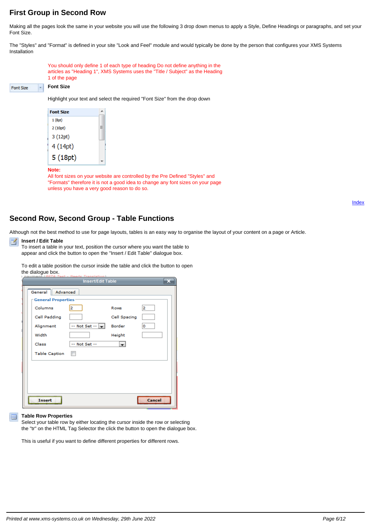# **First Group in Second Row**

**Font Size**

Making all the pages look the same in your website you will use the following 3 drop down menus to apply a Style, Define Headings or paragraphs, and set your Font Size.

The "Styles" and "Format" is defined in your site "Look and Feel" module and would typically be done by the person that configures your XMS Systems Installation

| You should only define 1 of each type of heading Do not define anything in the |
|--------------------------------------------------------------------------------|
| articles as "Heading 1", XMS Systems uses the "Title / Subject" as the Heading |
| 1 of the page                                                                  |

### **Font Size**

÷

Highlight your text and select the required "Font Size" from the drop down

| <b>Font Size</b> | ▲                        |
|------------------|--------------------------|
| 1(8pt)           |                          |
| 2(10pt)          | Ξ                        |
| 3(12pt)          |                          |
| 4(14pt)          |                          |
| 5(18pt)          | $\overline{\phantom{a}}$ |
| Note:<br>.       | .                        |

All font sizes on your website are controlled by the Pre Defined "Styles" and "Formats" therefore it is not a good idea to change any font sizes on your page unless you have a very good reason to do so.

### **Second Row, Second Group - Table Functions**

Although not the best method to use for page layouts, tables is an easy way to organise the layout of your content on a page or Article.

#### **Insert / Edit Table** M

To insert a table in your text, position the cursor where you want the table to appear and click the button to open the "Insert / Edit Table" dialogue box.

To edit a table position the cursor inside the table and click the button to open the dialogue box.

| uio ululoguo bon.         | Needs Translation)           |                |               |
|---------------------------|------------------------------|----------------|---------------|
|                           | <b>Insert/Edit Table</b>     |                |               |
| General                   | Advanced                     |                |               |
| <b>General Properties</b> |                              |                |               |
| Columns                   | 2                            | Rows           | 2             |
| Cell Padding              |                              | Cell Spacing   |               |
| Alignment                 | $\sim$ Not Set $\sim$ $\sim$ | Border         | о             |
| Width                     |                              | Height         |               |
| Class                     | -- Not Set --                | $\blacksquare$ |               |
| <b>Table Caption</b>      | п                            |                |               |
|                           |                              |                |               |
|                           |                              |                |               |
|                           |                              |                |               |
|                           |                              |                |               |
| <b>Insert</b>             |                              |                | <b>Cancel</b> |

### **Table Row Properties**

Select your table row by either locating the cursor inside the row or selecting the "tr" on the HTML Tag Selector the click the button to open the dialogue box.

This is useful if you want to define different properties for different rows.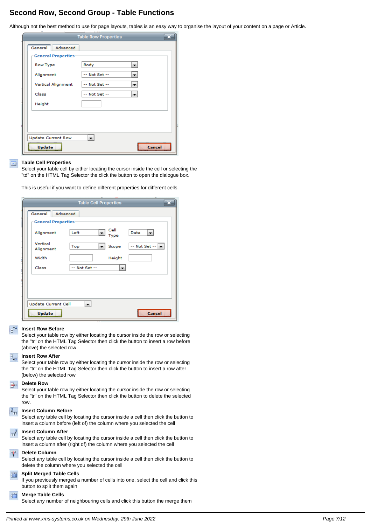# **Second Row, Second Group - Table Functions**

Although not the best method to use for page layouts, tables is an easy way to organise the layout of your content on a page or Article.

|                           | <b>Table Row Properties</b> |
|---------------------------|-----------------------------|
| Advanced<br>General       |                             |
| <b>General Properties</b> |                             |
| <b>Row Type</b>           | Body                        |
| Alignment                 | -- Not Set --               |
| <b>Vertical Alignment</b> | -- Not Set --               |
| Class                     | -- Not Set --<br>▼          |
| Height                    |                             |
|                           |                             |
|                           |                             |
| <b>Update Current Row</b> |                             |
| <b>Update</b>             | <b>Cancel</b>               |

#### **Table Cell Properties** ■

Select your table cell by either locating the cursor inside the cell or selecting the "td" on the HTML Tag Selector the click the button to open the dialogue box.

This is useful if you want to define different properties for different cells.

|                            | <b>Table Cell Properties</b>      | ×                                       |
|----------------------------|-----------------------------------|-----------------------------------------|
| Advanced<br>General        |                                   |                                         |
| General Properties         |                                   |                                         |
| Alignment                  | Cell<br>Left<br>▾▏<br><b>Type</b> | Data                                    |
| Vertical<br>Alignment      | Scope<br>Top<br>w.                | $-$ Not Set $ \left  \right.$ $\right $ |
| Width                      | Height                            |                                         |
| Class                      | -- Not Set --                     |                                         |
|                            |                                   |                                         |
|                            |                                   |                                         |
|                            |                                   |                                         |
| <b>Update Current Cell</b> |                                   |                                         |
| <b>Update</b>              |                                   | <b>Cancel</b>                           |

### **Insert Row Before**

Select your table row by either locating the cursor inside the row or selecting the "tr" on the HTML Tag Selector then click the button to insert a row before (above) the selected row

#### **Insert Row After**

Select your table row by either locating the cursor inside the row or selecting the "tr" on the HTML Tag Selector then click the button to insert a row after (below) the selected row

#### **Delete Row**

Select your table row by either locating the cursor inside the row or selecting the "tr" on the HTML Tag Selector then click the button to delete the selected row.

### **Insert Column Before**

Select any table cell by locating the cursor inside a cell then click the button to insert a column before (left of) the column where you selected the cell

### **Insert Column After**

Select any table cell by locating the cursor inside a cell then click the button to insert a column after (right of) the column where you selected the cell

### **Delete Column**

Select any table cell by locating the cursor inside a cell then click the button to delete the column where you selected the cell

#### **Split Merged Table Cells** 睡

If you previously merged a number of cells into one, select the cell and click this button to split them again

### **Merge Table Cells**

Select any number of neighbouring cells and click this button the merge them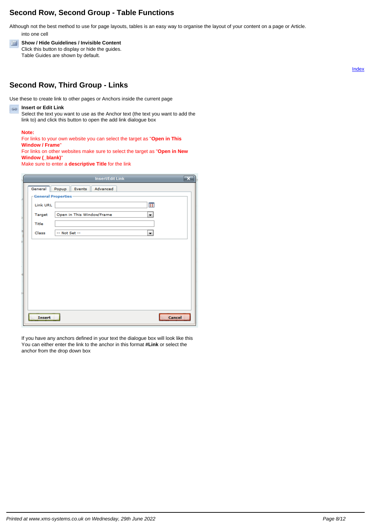# **Second Row, Second Group - Table Functions**

Although not the best method to use for page layouts, tables is an easy way to organise the layout of your content on a page or Article. into one cell



**Second Row, Third Group - Links**

Use these to create link to other pages or Anchors inside the current page

**Insert or Edit Link**

Select the text you want to use as the Anchor text (the text you want to add the link to) and click this button to open the add link dialogue box

### **Note:**

For links to your own website you can select the target as "**Open in This Window / Frame**" For links on other websites make sure to select the target as "**Open in New Window (\_blank)**" Make sure to enter a **descriptive Title** for the link

| <b>Insert/Edit Link</b>                | ×             |
|----------------------------------------|---------------|
| General<br>Advanced<br>Events<br>Popup |               |
| <b>General Properties</b>              |               |
| Link URL                               | ËË            |
| Open in This Window/Frame<br>Target    | ▾▏            |
| Title                                  |               |
| Class<br>-- Not Set --                 | ×.            |
|                                        |               |
|                                        |               |
|                                        |               |
|                                        |               |
|                                        |               |
|                                        |               |
|                                        |               |
|                                        |               |
| <b>Insert</b>                          | <b>Cancel</b> |

If you have any anchors defined in your text the dialogue box will look like this You can either enter the link to the anchor in this format **#Link** or select the anchor from the drop down box

Index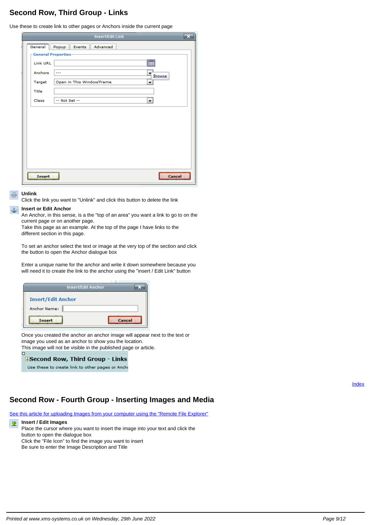### **Second Row, Third Group - Links**

Use these to create link to other pages or Anchors inside the current page

| <b>Insert/Edit Link</b>                        |  |  |  |  |
|------------------------------------------------|--|--|--|--|
| General<br>Events<br>Advanced<br>Popup         |  |  |  |  |
| <b>General Properties</b>                      |  |  |  |  |
| E<br>Link URL                                  |  |  |  |  |
| Anchors<br>---<br>계<br>Browse                  |  |  |  |  |
| Open in This Window/Frame<br>Target<br>▼       |  |  |  |  |
| Title                                          |  |  |  |  |
| Class<br>-- Not Set --<br>$\blacktriangledown$ |  |  |  |  |
|                                                |  |  |  |  |
|                                                |  |  |  |  |
|                                                |  |  |  |  |
|                                                |  |  |  |  |
|                                                |  |  |  |  |
|                                                |  |  |  |  |
|                                                |  |  |  |  |
| <b>Cancel</b><br><b>Insert</b>                 |  |  |  |  |

#### **Unlink**

 $\Box$ 

Click the link you want to "Unlink" and click this button to delete the link

### **Insert or Edit Anchor**

An Anchor, in this sense, is a the "top of an area" you want a link to go to on the current page or on another page.

Take this page as an example. At the top of the page I have links to the different section in this page.

To set an anchor select the text or image at the very top of the section and click the button to open the Anchor dialogue box

Enter a unique name for the anchor and write it down somewhere because you will need it to create the link to the anchor using the "insert / Edit Link" button

| <b>Insert/Edit Anchor</b> |               |
|---------------------------|---------------|
| <b>Insert/Edit Anchor</b> |               |
| Anchor Name:              |               |
| <b>Insert</b>             | <b>Cancel</b> |

Once you created the anchor an anchor image will appear next to the text or image you used as an anchor to show you the location. This image will not be visible in the published page or article.

### **ESecond Row, Third Group - Links**

Use these to create link to other pages or Ancho

### Index

### **Second Row - Fourth Group - Inserting Images and Media**

[See this article for uploading Images from your computer using the "Remote File Explorer"](../articles_read.php?a_id=91)

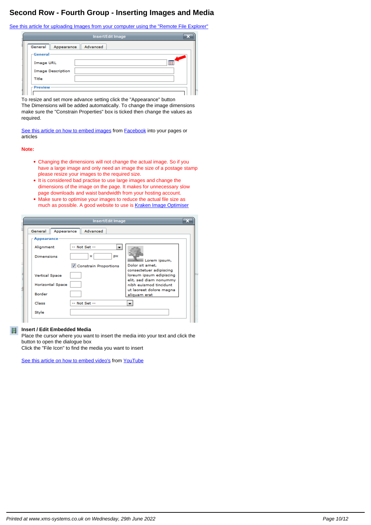### **Second Row - Fourth Group - Inserting Images and Media**

[See this article for uploading Images from your computer using the "Remote File Explorer"](../articles_read.php?a_id=91)

| General<br>Appearance    | Advanced |    |
|--------------------------|----------|----|
| $\Gamma$ General -       |          |    |
| Image URL                |          | ËË |
| <b>Image Description</b> |          |    |
| Title                    |          |    |

To resize and set more advance setting click the "Appearance" button The Dimensions will be added automatically. To change the image dimensions make sure the "Constrain Properties" box is ticked then change the values as required.

[See this article on how to embed images](../articles_read.php?a_id=90) from **Facebook** into your pages or articles

### **Note:**

- Changing the dimensions will not change the actual image. So if you have a large image and only need an image the size of a postage stamp please resize your images to the required size.
- It is considered bad practise to use large images and change the dimensions of the image on the page. It makes for unnecessary slow page downloads and waist bandwidth from your hosting account.
- Make sure to optimise your images to reduce the actual file size as much as possible. A good website to use is [Kraken Image Optimiser](https://kraken.io/web-interface)

| General<br>Appearance   | Advanced                 |                                                   |
|-------------------------|--------------------------|---------------------------------------------------|
| Appearance              |                          |                                                   |
| Alignment<br>Dimensions | -- Not Set --<br>рx<br>× | Lorem ipsum,                                      |
|                         | Constrain Proportions    | Dolor sit amet,<br>consectetuer adipiscing        |
| <b>Vertical Space</b>   |                          | loreum ipsum edipiscing<br>elit, sed diam nonummy |
| <b>Horizontal Space</b> |                          | nibh euismod tincidunt                            |
| <b>Border</b>           |                          | ut laoreet dolore magna<br>aliquam erat           |
| Class                   | $-$ Not Set $-$          |                                                   |
| Style                   |                          |                                                   |

### **Insert / Edit Embedded Media**

Place the cursor where you want to insert the media into your text and click the button to open the dialogue box Click the "File Icon" to find the media you want to insert

[See this article on how to embed video's](../articles_read.php?a_id=89) from [YouTube](http://www.youtube.com/)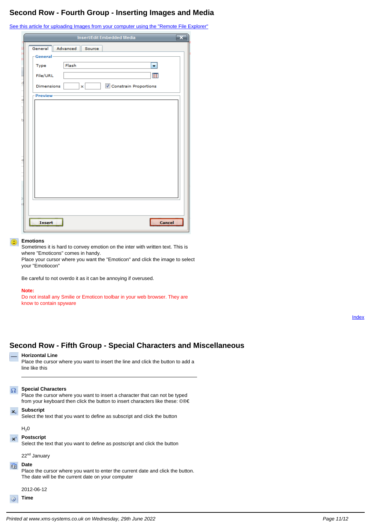### **Second Row - Fourth Group - Inserting Images and Media**

[See this article for uploading Images from your computer using the "Remote File Explorer"](../articles_read.php?a_id=91)

|                               | Insert/Edit Embedded Media<br>P. |
|-------------------------------|----------------------------------|
| Advanced<br>General<br>Source |                                  |
| -General-                     |                                  |
| Flash<br>Type                 | $\blacktriangledown$             |
| File/URL                      | ËE                               |
| <b>Dimensions</b><br>×        | <b>V</b> Constrain Proportions   |
| - Preview-                    |                                  |
|                               |                                  |
|                               |                                  |
|                               |                                  |
|                               |                                  |
|                               |                                  |
|                               |                                  |
|                               |                                  |
|                               |                                  |
|                               |                                  |
|                               |                                  |
|                               |                                  |
|                               |                                  |
|                               |                                  |
|                               |                                  |
| Insert                        | Cancel                           |
|                               |                                  |

### **Emotions**

Sometimes it is hard to convey emotion on the inter with written text. This is where "Emoticons" comes in handy.

Place your cursor where you want the "Emoticon" and click the image to select your "Emotiocon"

Be careful to not overdo it as it can be annoying if overused.

#### **Note:**

Do not install any Smilie or Emoticon toolbar in your web browser. They are know to contain spyware

Index

### **Second Row - Fifth Group - Special Characters and Miscellaneous**

### **Horizontal Line**

Place the cursor where you want to insert the line and click the button to add a line like this

### **Special Characters**

Place the cursor where you want to insert a character that can not be typed from your keyboard then click the button to insert characters like these: ©®€

#### **Subscript**  $\mathbf{x}$

Select the text that you want to define as subscript and click the button

### $H<sub>2</sub>0$

### **Rostscript**

Select the text that you want to define as postscript and click the button

22<sup>nd</sup> January

# **Ez** Date

Place the cursor where you want to enter the current date and click the button. The date will be the current date on your computer

2012-06-12

**Time**  $\odot$